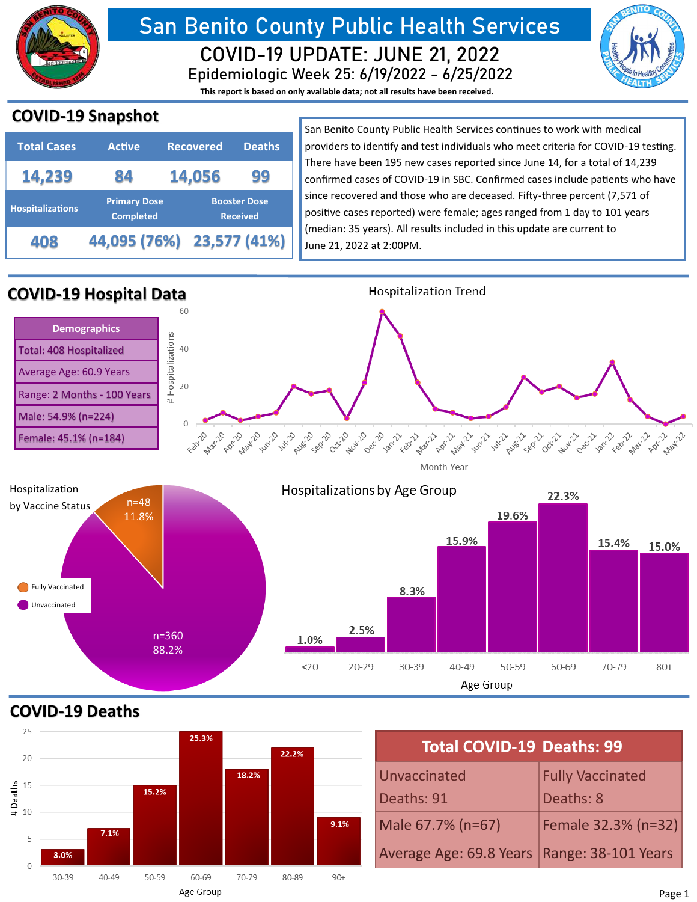

# **San Benito County Public Health Services Epidemiologic Week 25: 6/19/2022 - 6/25/2022 COVID-19 UPDATE: JUNE 21, 2022**

**This report is based on only available data; not all results have been received.**



## **COVID-19 Snapshot**

| <b>Total Cases</b>      | <b>Active</b>                                                                     | <b>Recovered</b> | <b>Deaths</b> |
|-------------------------|-----------------------------------------------------------------------------------|------------------|---------------|
| 14,239                  | 84                                                                                | 14,056           | 99            |
| <b>Hospitalizations</b> | <b>Primary Dose</b><br><b>Booster Dose</b><br><b>Completed</b><br><b>Received</b> |                  |               |
| 408                     | 44,095 (76%) 23,577 (41%)                                                         |                  |               |

San Benito County Public Health Services continues to work with medical providers to identify and test individuals who meet criteria for COVID-19 testing. There have been 195 new cases reported since June 14, for a total of 14,239 confirmed cases of COVID-19 in SBC. Confirmed cases include patients who have since recovered and those who are deceased. Fifty-three percent (7,571 of positive cases reported) were female; ages ranged from 1 day to 101 years (median: 35 years). All results included in this update are current to June 21, 2022 at 2:00PM.



**COVID-19 Deaths**



| <b>Total COVID-19 Deaths: 99</b>              |                         |  |  |  |  |
|-----------------------------------------------|-------------------------|--|--|--|--|
| Unvaccinated                                  | <b>Fully Vaccinated</b> |  |  |  |  |
| Deaths: 91                                    | Deaths: 8               |  |  |  |  |
| Male 67.7% (n=67)                             | Female 32.3% (n=32)     |  |  |  |  |
| Average Age: 69.8 Years   Range: 38-101 Years |                         |  |  |  |  |